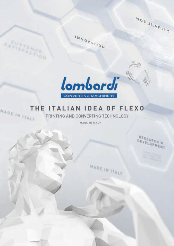

1111 



INNOVATION

## THE ITALIAN IDEA OF FLEXO MADE IN ITALY

PRINTING AND CONVERTING TECHNOLOGY

MADE IN ITALY

MADE IN ITALY

RESEARCH N DEVELOPMENT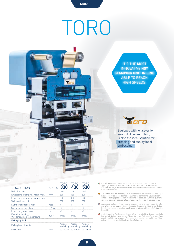**MODULE**

## TORO



|                                                     |                    | TORO      | TNRN                          | TNRN                |
|-----------------------------------------------------|--------------------|-----------|-------------------------------|---------------------|
| <b>DESCRIPTION</b>                                  | <b>UNITS 330</b>   |           | 430                           | 530                 |
| Web direction                                       | mm                 | both      | both                          | both                |
| Embossing (stamping) width, max.                    | mm                 | 330       | 430                           | 530                 |
| Embossing (stamping) lenght, max.                   | mm                 | 330       | 430                           | 530                 |
| Web width, max, ii                                  | mm                 | 350       | 450                           | 550                 |
| Number of strokes, max.                             | /sec               | 4         | 4                             |                     |
| Speed, mechanical max. v                            | m/min              | 80        | 80                            | 80                  |
| Embossing force, max                                | tons               | 25        | 25                            | 25                  |
| Electrical heating,<br># of zones, max. temperature | $\#$ / $C^{\circ}$ | 1/150     | 1/150                         | 1/150               |
| Foiling (option)                                    |                    |           |                               |                     |
| Foiling head direction                              |                    | Across    | Across<br>and along and along | Across<br>and along |
| Foil width                                          | mm                 | 20 to 330 | 20 to 430                     | 20 to 530           |

- E' la più innovativa pressa per la stampa a caldo in linea in grado di<br>raggiungere elevate velocità. Dotata di foil saver per il risparmio del<br>consumo del foil, è anche la soluzione ideale per la cordonatura e il rilievo<br>d
- Y 'la prensa más innovadora para la estampación en caliente en línea capaz de alcanzar velocidades de más de 80 metros por minuto. Equipado con protector de hoja para ahorrar el consumo de papel de aluminio, que tam bién es la solución ideal para la puntuación y etiquetas de calidad alivio.
- La presse à plat pour l'impression à chaud en ligne la plus innovante. Elle<br>peut atteindre les hautes vitesses. Equipée de système d'économie de ban-<br>de, elle représente la solution idéale pour le rainage et le relief d'ét de qualité.
- Ist die innovative Flachpresse für den Warmdruck in Linie, in der Lage hohe<br>Geschwindigkeiten zu erreichen. Sie verfügt über "foil saver" um beim Ver-<br>brauch des Foils einzusparen. Sie ist auch die ideale Lösung für das Ri